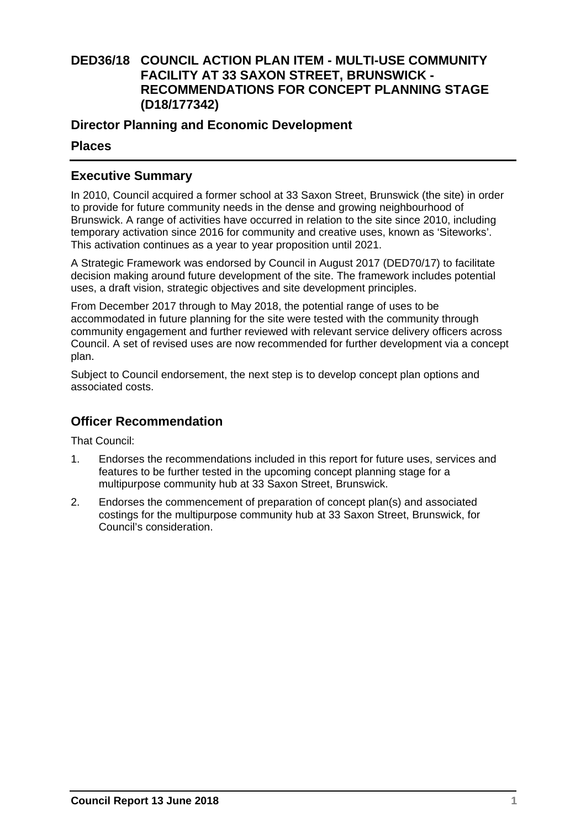# **DED36/18 COUNCIL ACTION PLAN ITEM - MULTI-USE COMMUNITY FACILITY AT 33 SAXON STREET, BRUNSWICK - RECOMMENDATIONS FOR CONCEPT PLANNING STAGE (D18/177342)**

## **Director Planning and Economic Development**

## **Places**

# **Executive Summary**

In 2010, Council acquired a former school at 33 Saxon Street, Brunswick (the site) in order to provide for future community needs in the dense and growing neighbourhood of Brunswick. A range of activities have occurred in relation to the site since 2010, including temporary activation since 2016 for community and creative uses, known as 'Siteworks'. This activation continues as a year to year proposition until 2021.

A Strategic Framework was endorsed by Council in August 2017 (DED70/17) to facilitate decision making around future development of the site. The framework includes potential uses, a draft vision, strategic objectives and site development principles.

From December 2017 through to May 2018, the potential range of uses to be accommodated in future planning for the site were tested with the community through community engagement and further reviewed with relevant service delivery officers across Council. A set of revised uses are now recommended for further development via a concept plan.

Subject to Council endorsement, the next step is to develop concept plan options and associated costs.

## **Officer Recommendation**

That Council:

- 1. Endorses the recommendations included in this report for future uses, services and features to be further tested in the upcoming concept planning stage for a multipurpose community hub at 33 Saxon Street, Brunswick.
- 2. Endorses the commencement of preparation of concept plan(s) and associated costings for the multipurpose community hub at 33 Saxon Street, Brunswick, for Council's consideration.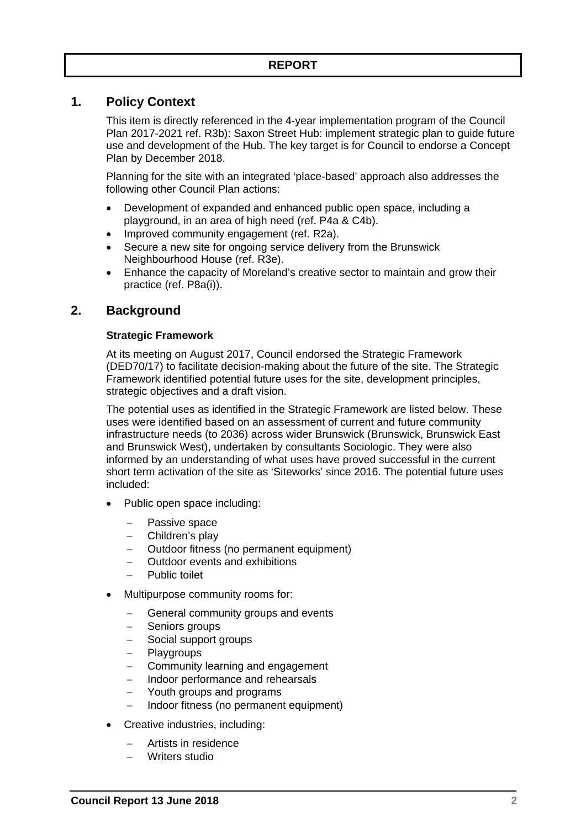## **1. Policy Context**

This item is directly referenced in the 4-year implementation program of the Council Plan 2017-2021 ref. R3b): Saxon Street Hub: implement strategic plan to guide future use and development of the Hub. The key target is for Council to endorse a Concept Plan by December 2018.

Planning for the site with an integrated 'place-based' approach also addresses the following other Council Plan actions:

- Development of expanded and enhanced public open space, including a playground, in an area of high need (ref. P4a & C4b).
- Improved community engagement (ref. R2a).
- Secure a new site for ongoing service delivery from the Brunswick Neighbourhood House (ref. R3e).
- Enhance the capacity of Moreland's creative sector to maintain and grow their practice (ref. P8a(i)).

## **2. Background**

### **Strategic Framework**

At its meeting on August 2017, Council endorsed the Strategic Framework (DED70/17) to facilitate decision-making about the future of the site. The Strategic Framework identified potential future uses for the site, development principles, strategic objectives and a draft vision.

The potential uses as identified in the Strategic Framework are listed below. These uses were identified based on an assessment of current and future community infrastructure needs (to 2036) across wider Brunswick (Brunswick, Brunswick East and Brunswick West), undertaken by consultants Sociologic. They were also informed by an understanding of what uses have proved successful in the current short term activation of the site as 'Siteworks' since 2016. The potential future uses included:

- Public open space including:
	- Passive space
	- Children's play
	- Outdoor fitness (no permanent equipment)
	- Outdoor events and exhibitions
	- Public toilet
- Multipurpose community rooms for:
	- General community groups and events
	- Seniors groups
	- Social support groups
	- Playgroups
	- Community learning and engagement
	- Indoor performance and rehearsals
	- Youth groups and programs
	- Indoor fitness (no permanent equipment)
- Creative industries, including:
	- Artists in residence
	- Writers studio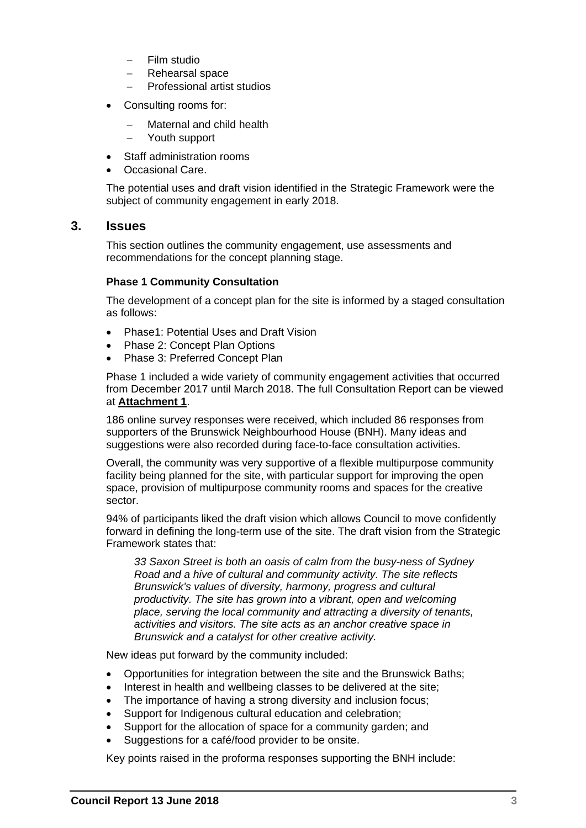- Film studio
- Rehearsal space
- Professional artist studios
- Consulting rooms for:
	- Maternal and child health
	- Youth support
- Staff administration rooms
- Occasional Care.

The potential uses and draft vision identified in the Strategic Framework were the subject of community engagement in early 2018.

### **3. Issues**

This section outlines the community engagement, use assessments and recommendations for the concept planning stage.

#### **Phase 1 Community Consultation**

The development of a concept plan for the site is informed by a staged consultation as follows:

- Phase1: Potential Uses and Draft Vision
- Phase 2: Concept Plan Options
- Phase 3: Preferred Concept Plan

Phase 1 included a wide variety of community engagement activities that occurred from December 2017 until March 2018. The full Consultation Report can be viewed at **Attachment 1**.

186 online survey responses were received, which included 86 responses from supporters of the Brunswick Neighbourhood House (BNH). Many ideas and suggestions were also recorded during face-to-face consultation activities.

Overall, the community was very supportive of a flexible multipurpose community facility being planned for the site, with particular support for improving the open space, provision of multipurpose community rooms and spaces for the creative sector.

94% of participants liked the draft vision which allows Council to move confidently forward in defining the long-term use of the site. The draft vision from the Strategic Framework states that:

*33 Saxon Street is both an oasis of calm from the busy-ness of Sydney Road and a hive of cultural and community activity. The site reflects Brunswick's values of diversity, harmony, progress and cultural productivity. The site has grown into a vibrant, open and welcoming place, serving the local community and attracting a diversity of tenants, activities and visitors. The site acts as an anchor creative space in Brunswick and a catalyst for other creative activity.* 

New ideas put forward by the community included:

- Opportunities for integration between the site and the Brunswick Baths;
- Interest in health and wellbeing classes to be delivered at the site;
- The importance of having a strong diversity and inclusion focus;
- Support for Indigenous cultural education and celebration;
- Support for the allocation of space for a community garden; and
- Suggestions for a café/food provider to be onsite.

Key points raised in the proforma responses supporting the BNH include: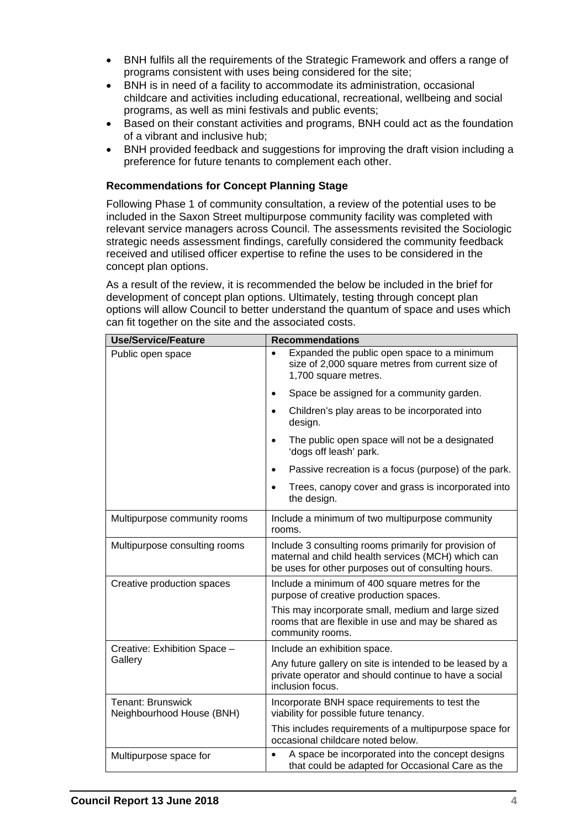- BNH fulfils all the requirements of the Strategic Framework and offers a range of programs consistent with uses being considered for the site;
- BNH is in need of a facility to accommodate its administration, occasional childcare and activities including educational, recreational, wellbeing and social programs, as well as mini festivals and public events;
- Based on their constant activities and programs, BNH could act as the foundation of a vibrant and inclusive hub;
- BNH provided feedback and suggestions for improving the draft vision including a preference for future tenants to complement each other.

### **Recommendations for Concept Planning Stage**

Following Phase 1 of community consultation, a review of the potential uses to be included in the Saxon Street multipurpose community facility was completed with relevant service managers across Council. The assessments revisited the Sociologic strategic needs assessment findings, carefully considered the community feedback received and utilised officer expertise to refine the uses to be considered in the concept plan options.

As a result of the review, it is recommended the below be included in the brief for development of concept plan options. Ultimately, testing through concept plan options will allow Council to better understand the quantum of space and uses which can fit together on the site and the associated costs.

| <b>Use/Service/Feature</b>                            | <b>Recommendations</b>                                                                                                                                             |
|-------------------------------------------------------|--------------------------------------------------------------------------------------------------------------------------------------------------------------------|
| Public open space                                     | Expanded the public open space to a minimum<br>size of 2,000 square metres from current size of<br>1,700 square metres.                                            |
|                                                       | Space be assigned for a community garden.<br>$\bullet$                                                                                                             |
|                                                       | Children's play areas to be incorporated into<br>$\bullet$<br>design.                                                                                              |
|                                                       | The public open space will not be a designated<br>'dogs off leash' park.                                                                                           |
|                                                       | Passive recreation is a focus (purpose) of the park.                                                                                                               |
|                                                       | Trees, canopy cover and grass is incorporated into<br>the design.                                                                                                  |
| Multipurpose community rooms                          | Include a minimum of two multipurpose community<br>rooms.                                                                                                          |
| Multipurpose consulting rooms                         | Include 3 consulting rooms primarily for provision of<br>maternal and child health services (MCH) which can<br>be uses for other purposes out of consulting hours. |
| Creative production spaces                            | Include a minimum of 400 square metres for the<br>purpose of creative production spaces.                                                                           |
|                                                       | This may incorporate small, medium and large sized<br>rooms that are flexible in use and may be shared as<br>community rooms.                                      |
| Creative: Exhibition Space -<br>Gallery               | Include an exhibition space.                                                                                                                                       |
|                                                       | Any future gallery on site is intended to be leased by a<br>private operator and should continue to have a social<br>inclusion focus.                              |
| <b>Tenant: Brunswick</b><br>Neighbourhood House (BNH) | Incorporate BNH space requirements to test the<br>viability for possible future tenancy.                                                                           |
|                                                       | This includes requirements of a multipurpose space for<br>occasional childcare noted below.                                                                        |
| Multipurpose space for                                | A space be incorporated into the concept designs<br>that could be adapted for Occasional Care as the                                                               |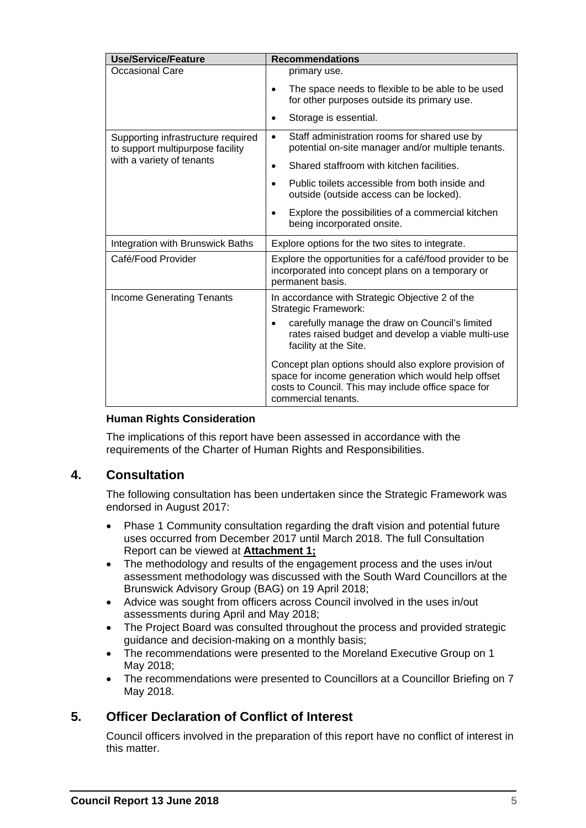| <b>Use/Service/Feature</b>                                                                          | <b>Recommendations</b>                                                                                                                                                                     |
|-----------------------------------------------------------------------------------------------------|--------------------------------------------------------------------------------------------------------------------------------------------------------------------------------------------|
| <b>Occasional Care</b>                                                                              | primary use.                                                                                                                                                                               |
|                                                                                                     | The space needs to flexible to be able to be used<br>$\bullet$<br>for other purposes outside its primary use.                                                                              |
|                                                                                                     | Storage is essential.<br>$\bullet$                                                                                                                                                         |
| Supporting infrastructure required<br>to support multipurpose facility<br>with a variety of tenants | Staff administration rooms for shared use by<br>$\bullet$<br>potential on-site manager and/or multiple tenants.                                                                            |
|                                                                                                     | Shared staffroom with kitchen facilities.<br>$\bullet$                                                                                                                                     |
|                                                                                                     | Public toilets accessible from both inside and<br>$\bullet$<br>outside (outside access can be locked).                                                                                     |
|                                                                                                     | Explore the possibilities of a commercial kitchen<br>$\bullet$<br>being incorporated onsite.                                                                                               |
| Integration with Brunswick Baths                                                                    | Explore options for the two sites to integrate.                                                                                                                                            |
| Café/Food Provider                                                                                  | Explore the opportunities for a café/food provider to be<br>incorporated into concept plans on a temporary or<br>permanent basis.                                                          |
| <b>Income Generating Tenants</b>                                                                    | In accordance with Strategic Objective 2 of the<br><b>Strategic Framework:</b>                                                                                                             |
|                                                                                                     | carefully manage the draw on Council's limited<br>$\bullet$<br>rates raised budget and develop a viable multi-use<br>facility at the Site.                                                 |
|                                                                                                     | Concept plan options should also explore provision of<br>space for income generation which would help offset<br>costs to Council. This may include office space for<br>commercial tenants. |

### **Human Rights Consideration**

The implications of this report have been assessed in accordance with the requirements of the Charter of Human Rights and Responsibilities.

## **4. Consultation**

The following consultation has been undertaken since the Strategic Framework was endorsed in August 2017:

- Phase 1 Community consultation regarding the draft vision and potential future uses occurred from December 2017 until March 2018. The full Consultation Report can be viewed at **Attachment 1;**
- The methodology and results of the engagement process and the uses in/out assessment methodology was discussed with the South Ward Councillors at the Brunswick Advisory Group (BAG) on 19 April 2018;
- Advice was sought from officers across Council involved in the uses in/out assessments during April and May 2018;
- The Project Board was consulted throughout the process and provided strategic guidance and decision-making on a monthly basis;
- The recommendations were presented to the Moreland Executive Group on 1 May 2018;
- The recommendations were presented to Councillors at a Councillor Briefing on 7 May 2018.

# **5. Officer Declaration of Conflict of Interest**

Council officers involved in the preparation of this report have no conflict of interest in this matter.